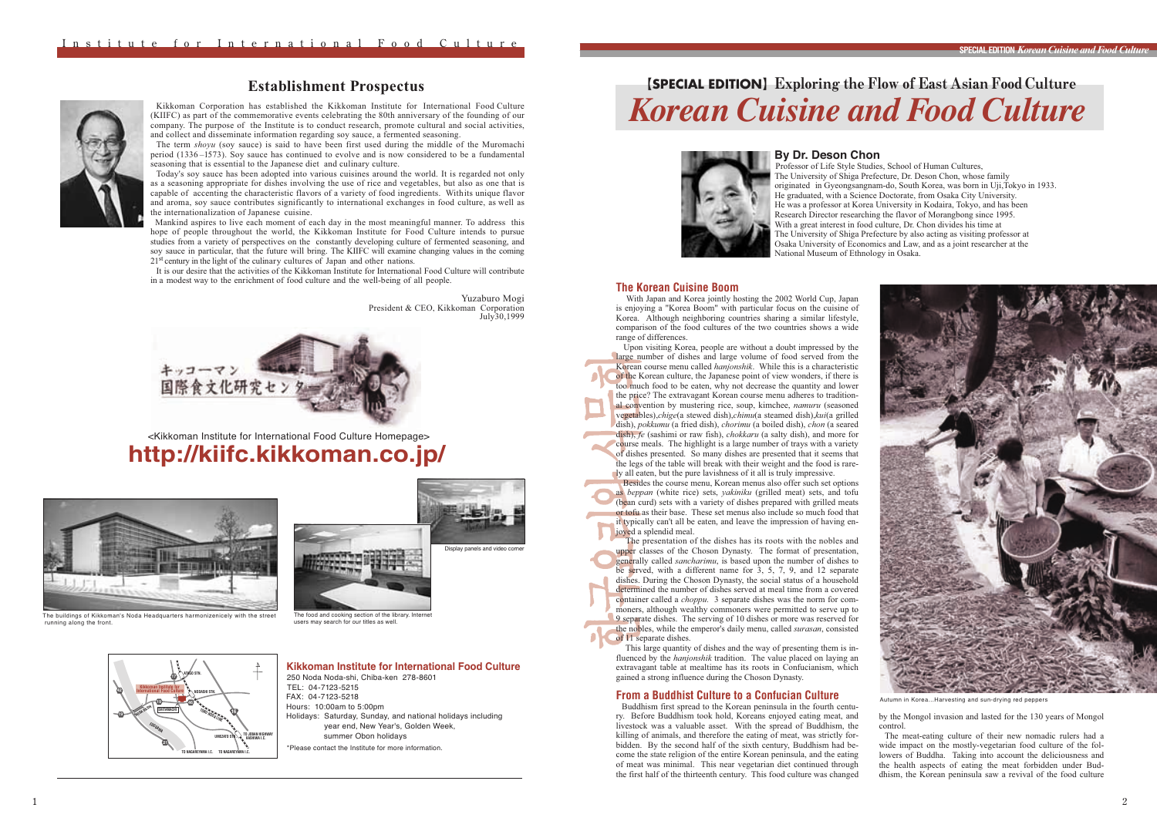# 【**SPECIAL EDITION**】Exploring the Flow of East Asian Food Culture *Korean Cuisine and Food Culture*



## **By Dr. Deson Chon**

The University of Shiga Prefecture, Dr. Deson Chon, whose family originated in Gyeongsangnam-do, South Korea, was born in Uji,Tokyo in 1933. He graduated, with a Science Doctorate, from Osaka City University. He was a professor at Korea University in Kodaira, Tokyo, and has been Research Director researching the flavor of Morangbong since 1995. With a great interest in food culture, Dr. Chon divides his time at The University of Shiga Prefecture by also acting as visiting professor at Osaka University of Economics and Law, and as a joint researcher at the National Museum of Ethnology in Osaka. Professor of Life Style Studies, School of Human Cultures,

## **The Korean Cuisine Boom**

With Japan and Korea jointly hosting the 2002 World Cup, Japan is enjoying a "Korea Boom" with particular focus on the cuisine of Korea. Although neighboring countries sharing a similar lifestyle, comparison of the food cultures of the two countries shows a wide range of differences.

 Upon visiting Korea, people are without a doubt impressed by the large number of dishes and large volume of food served from the Korean course menu called *hanjonshik*. While this is a characteristic of the Korean culture, the Japanese point of view wonders, if there is too much food to be eaten, why not decrease the quantity and lower the price? The extravagant Korean course menu adheres to traditional convention by mustering rice, soup, kimchee, *namuru* (seasoned vegetables),*chige*(a stewed dish),*chimu*(a steamed dish),*kui*(a grilled dish), *pokkumu* (a fried dish), *chorimu* (a boiled dish), *chon* (a seared dish), *fe* (sashimi or raw fish), *chokkaru* (a salty dish), and more for course meals. The highlight is a large number of trays with a variety of dishes presented. So many dishes are presented that it seems that the legs of the table will break with their weight and the food is rarely all eaten, but the pure lavishness of it all is truly impressive.

 Besides the course menu, Korean menus also offer such set options as *beppan* (white rice) sets, *yakiniku* (grilled meat) sets, and tofu (bean curd) sets with a variety of dishes prepared with grilled meats or tofu as their base. These set menus also include so much food that it typically can't all be eaten, and leave the impression of having enjoyed a splendid meal.

 The presentation of the dishes has its roots with the nobles and upper classes of the Choson Dynasty. The format of presentation, generally called *sancharimu*, is based upon the number of dishes to be served, with a different name for 3, 5, 7, 9, and 12 separate dishes. During the Choson Dynasty, the social status of a household determined the number of dishes served at meal time from a covered container called a *choppu.* 3 separate dishes was the norm for commoners, although wealthy commoners were permitted to serve up to 9 separate dishes. The serving of 10 dishes or more was reserved for the nobles, while the emperor's daily menu, called *surasan*, consisted of 11 separate dishes.

 This large quantity of dishes and the way of presenting them is influenced by the *hanjonshik* tradition. The value placed on laying an extravagant table at mealtime has its roots in Confucianism, which gained a strong influence during the Choson Dynasty.

# **From a Buddhist Culture to a Confucian Culture**

Buddhism first spread to the Korean peninsula in the fourth century. Before Buddhism took hold, Koreans enjoyed eating meat, and livestock was a valuable asset. With the spread of Buddhism, the killing of animals, and therefore the eating of meat, was strictly forbidden. By the second half of the sixth century, Buddhism had become the state religion of the entire Korean peninsula, and the eating of meat was minimal. This near vegetarian diet continued through the first half of the thirteenth century. This food culture was changed



Autumn in Korea...Harvesting and sun-drying red peppers

by the Mongol invasion and lasted for the 130 years of Mongol control.

The meat-eating culture of their new nomadic rulers had a wide impact on the mostly-vegetarian food culture of the followers of Buddha. Taking into account the deliciousness and the health aspects of eating the meat forbidden under Buddhism, the Korean peninsula saw a revival of the food culture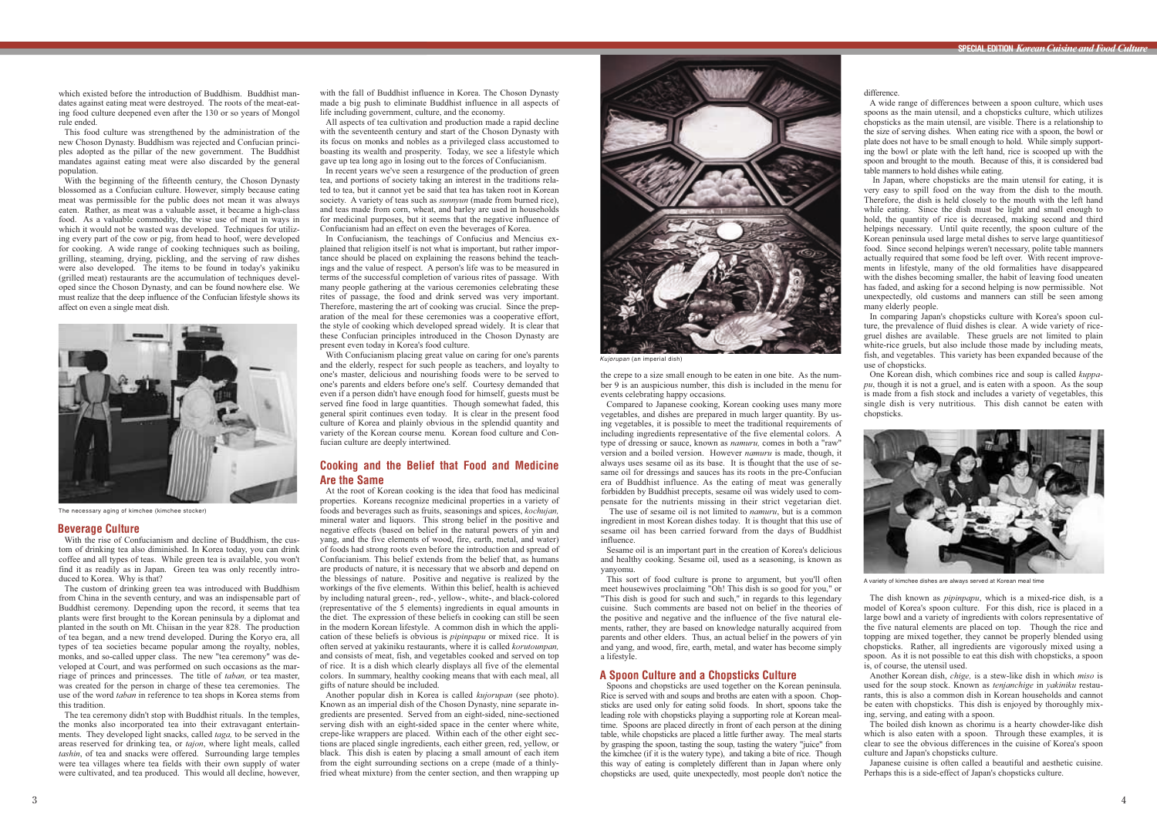

A variety of kimchee dishes are always served at Korean meal time



The necessary aging of kimchee (kimchee stocker)



*Kujorupan* (an imperial dish)

which existed before the introduction of Buddhism. Buddhist mandates against eating meat were destroyed. The roots of the meat-eating food culture deepened even after the 130 or so years of Mongol rule ended.

This food culture was strengthened by the administration of the new Choson Dynasty. Buddhism was rejected and Confucian principles adopted as the pillar of the new government. The Buddhist mandates against eating meat were also discarded by the general population.

With the beginning of the fifteenth century, the Choson Dynasty blossomed as a Confucian culture. However, simply because eating meat was permissible for the public does not mean it was always eaten. Rather, as meat was a valuable asset, it became a high-class food. As a valuable commodity, the wise use of meat in ways in which it would not be wasted was developed. Techniques for utilizing every part of the cow or pig, from head to hoof, were developed for cooking. A wide range of cooking techniques such as boiling, grilling, steaming, drying, pickling, and the serving of raw dishes were also developed. The items to be found in today's yakiniku (grilled meat) restaurants are the accumulation of techniques developed since the Choson Dynasty, and can be found nowhere else. We must realize that the deep influence of the Confucian lifestyle shows its affect on even a single meat dish.

#### **Beverage Culture**

With the rise of Confucianism and decline of Buddhism, the custom of drinking tea also diminished. In Korea today, you can drink coffee and all types of teas. While green tea is available, you won't find it as readily as in Japan. Green tea was only recently introduced to Korea. Why is that?

The custom of drinking green tea was introduced with Buddhism from China in the seventh century, and was an indispensable part of Buddhist ceremony. Depending upon the record, it seems that tea plants were first brought to the Korean peninsula by a diplomat and planted in the south on Mt. Chiisan in the year 828. The production of tea began, and a new trend developed. During the Koryo era, all types of tea societies became popular among the royalty, nobles, monks, and so-called upper class. The new "tea ceremony" was developed at Court, and was performed on such occasions as the marriage of princes and princesses. The title of *taban,* or tea master, was created for the person in charge of these tea ceremonies. The use of the word *taban* in reference to tea shops in Korea stems from this tradition.

The tea ceremony didn't stop with Buddhist rituals. In the temples, the monks also incorporated tea into their extravagant entertainments. They developed light snacks, called *taga,* to be served in the areas reserved for drinking tea, or *tajon*, where light meals, called *tashin*, of tea and snacks were offered. Surrounding large temples were tea villages where tea fields with their own supply of water were cultivated, and tea produced. This would all decline, however,

with the fall of Buddhist influence in Korea. The Choson Dynasty made a big push to eliminate Buddhist influence in all aspects of life including government, culture, and the economy.

All aspects of tea cultivation and production made a rapid decline with the seventeenth century and start of the Choson Dynasty with its focus on monks and nobles as a privileged class accustomed to boasting its wealth and prosperity. Today, we see a lifestyle which gave up tea long ago in losing out to the forces of Confucianism.

In recent years we've seen a resurgence of the production of green tea, and portions of society taking an interest in the traditions related to tea, but it cannot yet be said that tea has taken root in Korean society. A variety of teas such as *sunnyun* (made from burned rice), and teas made from corn, wheat, and barley are used in households for medicinal purposes, but it seems that the negative influence of Confucianism had an effect on even the beverages of Korea.

In Confucianism, the teachings of Confucius and Mencius explained that religion itself is not what is important, but rather importance should be placed on explaining the reasons behind the teachings and the value of respect. A person's life was to be measured in terms of the successful completion of various rites of passage. With many people gathering at the various ceremonies celebrating these rites of passage, the food and drink served was very important. Therefore, mastering the art of cooking was crucial. Since the preparation of the meal for these ceremonies was a cooperative effort, the style of cooking which developed spread widely. It is clear that these Confucian principles introduced in the Choson Dynasty are present even today in Korea's food culture.

With Confucianism placing great value on caring for one's parents and the elderly, respect for such people as teachers, and loyalty to one's master, delicious and nourishing foods were to be served to one's parents and elders before one's self. Courtesy demanded that even if a person didn't have enough food for himself, guests must be served fine food in large quantities. Though somewhat faded, this general spirit continues even today. It is clear in the present food culture of Korea and plainly obvious in the splendid quantity and variety of the Korean course menu. Korean food culture and Confucian culture are deeply intertwined.

# **Cooking and the Belief that Food and Medicine Are the Same**

In Japan, where chopsticks are the main utensil for eating, it is very easy to spill food on the way from the dish to the mouth. Therefore, the dish is held closely to the mouth with the left hand while eating. Since the dish must be light and small enough to hold, the quantity of rice is decreased, making second and third helpings necessary. Until quite recently, the spoon culture of the Korean peninsula used large metal dishes to serve large quantitiesof food. Since second helpings weren't necessary, polite table manners actually required that some food be left over. With recent improvements in lifestyle, many of the old formalities have disappeared with the dishes becoming smaller, the habit of leaving food uneaten has faded, and asking for a second helping is now permissible. Not unexpectedly, old customs and manners can still be seen among many elderly people.

In comparing Japan's chopsticks culture with Korea's spoon culture, the prevalence of fluid dishes is clear. A wide variety of ricegruel dishes are available. These gruels are not limited to plain white-rice gruels, but also include those made by including meats, fish, and vegetables. This variety has been expanded because of the use of chopsticks.

At the root of Korean cooking is the idea that food has medicinal properties. Koreans recognize medicinal properties in a variety of foods and beverages such as fruits, seasonings and spices, *kochujan,* mineral water and liquors. This strong belief in the positive and negative effects (based on belief in the natural powers of yin and yang, and the five elements of wood, fire, earth, metal, and water) of foods had strong roots even before the introduction and spread of Confucianism. This belief extends from the belief that, as humans are products of nature, it is necessary that we absorb and depend on the blessings of nature. Positive and negative is realized by the workings of the five elements. Within this belief, health is achieved by including natural green-, red-, yellow-, white-, and black-colored (representative of the 5 elements) ingredients in equal amounts in the diet. The expression of these beliefs in cooking can still be seen in the modern Korean lifestyle. A common dish in which the application of these beliefs is obvious is *pipinpapu* or mixed rice. It is often served at yakiniku restaurants, where it is called *korutounpan,* and consists of meat, fish, and vegetables cooked and served on top of rice. It is a dish which clearly displays all five of the elemental colors. In summary, healthy cooking means that with each meal, all gifts of nature should be included.

Another popular dish in Korea is called *kujorupan* (see photo). Known as an imperial dish of the Choson Dynasty, nine separate ingredients are presented. Served from an eight-sided, nine-sectioned serving dish with an eight-sided space in the center where white, crepe-like wrappers are placed. Within each of the other eight sections are placed single ingredients, each either green, red, yellow, or black. This dish is eaten by placing a small amount of each item from the eight surrounding sections on a crepe (made of a thinlyfried wheat mixture) from the center section, and then wrapping up the crepe to a size small enough to be eaten in one bite. As the number 9 is an auspicious number, this dish is included in the menu for events celebrating happy occasions.

Compared to Japanese cooking, Korean cooking uses many more vegetables, and dishes are prepared in much larger quantity. By using vegetables, it is possible to meet the traditional requirements of including ingredients representative of the five elemental colors. A type of dressing or sauce, known as *namuru,* comes in both a "raw" version and a boiled version. However *namuru* is made, though, it always uses sesame oil as its base. It is thought that the use of sesame oil for dressings and sauces has its roots in the pre-Confucian era of Buddhist influence. As the eating of meat was generally forbidden by Buddhist precepts, sesame oil was widely used to compensate for the nutrients missing in their strict vegetarian diet.

The use of sesame oil is not limited to *namuru*, but is a common ingredient in most Korean dishes today. It is thought that this use of sesame oil has been carried forward from the days of Buddhist influence.

Sesame oil is an important part in the creation of Korea's delicious and healthy cooking. Sesame oil, used as a seasoning, is known as yanyomu.

This sort of food culture is prone to argument, but you'll often meet housewives proclaiming "Oh! This dish is so good for you," or "This dish is good for such and such," in regards to this legendary cuisine. Such comments are based not on belief in the theories of the positive and negative and the influence of the five natural elements, rather, they are based on knowledge naturally acquired from parents and other elders. Thus, an actual belief in the powers of yin and yang, and wood, fire, earth, metal, and water has become simply a lifestyle.

# **A Spoon Culture and a Chopsticks Culture**

Spoons and chopsticks are used together on the Korean peninsula. Rice is served with and soups and broths are eaten with a spoon. Chopsticks are used only for eating solid foods. In short, spoons take the leading role with chopsticks playing a supporting role at Korean mealtime. Spoons are placed directly in front of each person at the dining table, while chopsticks are placed a little further away. The meal starts by grasping the spoon, tasting the soup, tasting the watery "juice" from the kimchee (if it is the watery type), and taking a bite of rice. Though this way of eating is completely different than in Japan where only chopsticks are used, quite unexpectedly, most people don't notice the



difference.

A wide range of differences between a spoon culture, which uses spoons as the main utensil, and a chopsticks culture, which utilizes chopsticks as the main utensil, are visible. There is a relationship to the size of serving dishes. When eating rice with a spoon, the bowl or plate does not have to be small enough to hold. While simply supporting the bowl or plate with the left hand, rice is scooped up with the spoon and brought to the mouth. Because of this, it is considered bad table manners to hold dishes while eating.

One Korean dish, which combines rice and soup is called *kuppapu*, though it is not a gruel, and is eaten with a spoon. As the soup is made from a fish stock and includes a variety of vegetables, this single dish is very nutritious. This dish cannot be eaten with chopsticks.

The dish known as *pipinpapu*, which is a mixed-rice dish, is a model of Korea's spoon culture. For this dish, rice is placed in a large bowl and a variety of ingredients with colors representative of the five natural elements are placed on top. Though the rice and topping are mixed together, they cannot be properly blended using chopsticks. Rather, all ingredients are vigorously mixed using a spoon. As it is not possible to eat this dish with chopsticks, a spoon is, of course, the utensil used.

Another Korean dish, *chige,* is a stew-like dish in which *miso* is used for the soup stock. Known as *tenjanchige* in *yakiniku* restaurants, this is also a common dish in Korean households and cannot be eaten with chopsticks. This dish is enjoyed by thoroughly mixing, serving, and eating with a spoon.

The boiled dish known as chorimu is a hearty chowder-like dish which is also eaten with a spoon. Through these examples, it is clear to see the obvious differences in the cuisine of Korea's spoon culture and Japan's chopsticks culture.

Japanese cuisine is often called a beautiful and aesthetic cuisine. Perhaps this is a side-effect of Japan's chopsticks culture.